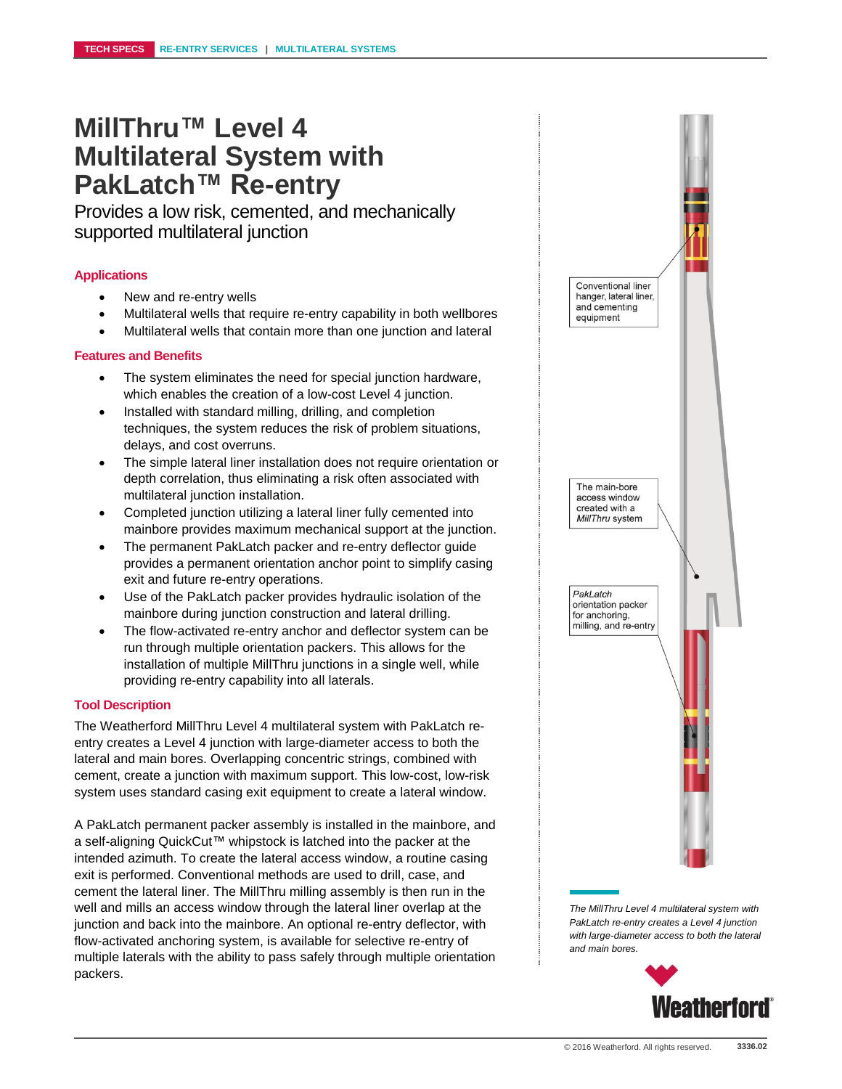## **MillThru™ Level 4 Multilateral System with PakLatch™ Re-entry**

Provides a low risk, cemented, and mechanically supported multilateral junction

#### **Applications**

- New and re-entry wells
- Multilateral wells that require re-entry capability in both wellbores
- Multilateral wells that contain more than one junction and lateral

#### **Features and Benefits**

- The system eliminates the need for special junction hardware, which enables the creation of a low-cost Level 4 junction.
- Installed with standard milling, drilling, and completion techniques, the system reduces the risk of problem situations, delays, and cost overruns.
- The simple lateral liner installation does not require orientation or depth correlation, thus eliminating a risk often associated with multilateral junction installation.
- Completed junction utilizing a lateral liner fully cemented into mainbore provides maximum mechanical support at the junction.
- The permanent PakLatch packer and re-entry deflector guide provides a permanent orientation anchor point to simplify casing exit and future re-entry operations.
- Use of the PakLatch packer provides hydraulic isolation of the mainbore during junction construction and lateral drilling.
- The flow-activated re-entry anchor and deflector system can be run through multiple orientation packers. This allows for the installation of multiple MillThru junctions in a single well, while providing re-entry capability into all laterals.

#### **Tool Description**

The Weatherford MillThru Level 4 multilateral system with PakLatch reentry creates a Level 4 junction with large-diameter access to both the lateral and main bores. Overlapping concentric strings, combined with cement, create a junction with maximum support. This low-cost, low-risk system uses standard casing exit equipment to create a lateral window.

A PakLatch permanent packer assembly is installed in the mainbore, and a self-aligning QuickCut™ whipstock is latched into the packer at the intended azimuth. To create the lateral access window, a routine casing exit is performed. Conventional methods are used to drill, case, and cement the lateral liner. The MillThru milling assembly is then run in the well and mills an access window through the lateral liner overlap at the junction and back into the mainbore. An optional re-entry deflector, with flow-activated anchoring system, is available for selective re-entry of multiple laterals with the ability to pass safely through multiple orientation packers.



*The MillThru Level 4 multilateral system with PakLatch re-entry creates a Level 4 junction with large-diameter access to both the lateral and main bores.*